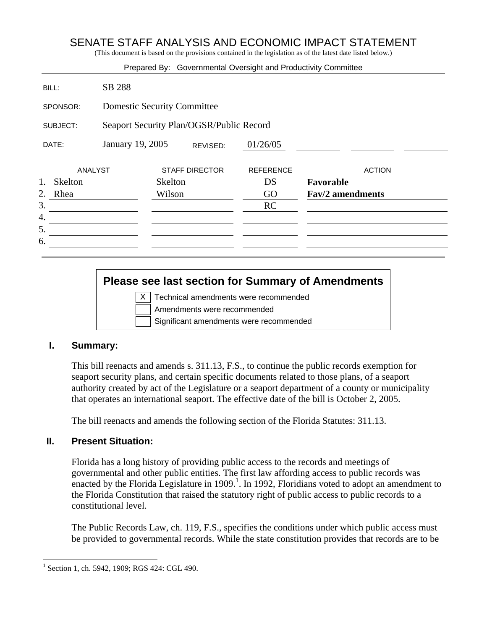# SENATE STAFF ANALYSIS AND ECONOMIC IMPACT STATEMENT

(This document is based on the provisions contained in the legislation as of the latest date listed below.)

|                |                                          |                       |          | Prepared By: Governmental Oversight and Productivity Committee |                         |               |  |
|----------------|------------------------------------------|-----------------------|----------|----------------------------------------------------------------|-------------------------|---------------|--|
| BILL:          | SB 288                                   |                       |          |                                                                |                         |               |  |
| SPONSOR:       | <b>Domestic Security Committee</b>       |                       |          |                                                                |                         |               |  |
| SUBJECT:       | Seaport Security Plan/OGSR/Public Record |                       |          |                                                                |                         |               |  |
| DATE:          | January 19, 2005                         |                       | REVISED: | 01/26/05                                                       |                         |               |  |
| <b>ANALYST</b> |                                          | <b>STAFF DIRECTOR</b> |          | <b>REFERENCE</b>                                               |                         | <b>ACTION</b> |  |
| 1.<br>Skelton  | <b>Skelton</b>                           |                       |          | DS                                                             | Favorable               |               |  |
| 2.<br>Rhea     |                                          | Wilson                |          | GO                                                             | <b>Fav/2</b> amendments |               |  |
| 3.             |                                          |                       |          | <b>RC</b>                                                      |                         |               |  |
| 4.             |                                          |                       |          |                                                                |                         |               |  |
| 5.             |                                          |                       |          |                                                                |                         |               |  |
| 6.             |                                          |                       |          |                                                                |                         |               |  |
|                |                                          |                       |          |                                                                |                         |               |  |

# **Please see last section for Summary of Amendments**

|  | X   Technical amendments were recommended |
|--|-------------------------------------------|
|  | Amendments were recommended               |
|  | Significant amendments were recommended   |

#### **I. Summary:**

This bill reenacts and amends s. 311.13, F.S., to continue the public records exemption for seaport security plans, and certain specific documents related to those plans, of a seaport authority created by act of the Legislature or a seaport department of a county or municipality that operates an international seaport. The effective date of the bill is October 2, 2005.

The bill reenacts and amends the following section of the Florida Statutes: 311.13.

## **II. Present Situation:**

Florida has a long history of providing public access to the records and meetings of governmental and other public entities. The first law affording access to public records was enacted by the Florida Legislature in 1909.<sup>1</sup>. In 1992, Floridians voted to adopt an amendment to the Florida Constitution that raised the statutory right of public access to public records to a constitutional level.

The Public Records Law, ch. 119, F.S., specifies the conditions under which public access must be provided to governmental records. While the state constitution provides that records are to be

<u>.</u>

<sup>1</sup> Section 1, ch. 5942, 1909; RGS 424: CGL 490.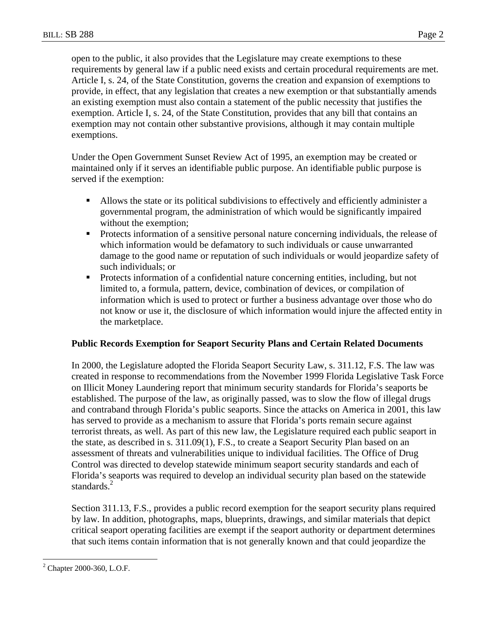open to the public, it also provides that the Legislature may create exemptions to these requirements by general law if a public need exists and certain procedural requirements are met. Article I, s. 24, of the State Constitution, governs the creation and expansion of exemptions to provide, in effect, that any legislation that creates a new exemption or that substantially amends an existing exemption must also contain a statement of the public necessity that justifies the exemption. Article I, s. 24, of the State Constitution, provides that any bill that contains an exemption may not contain other substantive provisions, although it may contain multiple exemptions.

Under the Open Government Sunset Review Act of 1995, an exemption may be created or maintained only if it serves an identifiable public purpose. An identifiable public purpose is served if the exemption:

- Allows the state or its political subdivisions to effectively and efficiently administer a governmental program, the administration of which would be significantly impaired without the exemption;
- **Protects information of a sensitive personal nature concerning individuals, the release of** which information would be defamatory to such individuals or cause unwarranted damage to the good name or reputation of such individuals or would jeopardize safety of such individuals; or
- **Protects information of a confidential nature concerning entities, including, but not** limited to, a formula, pattern, device, combination of devices, or compilation of information which is used to protect or further a business advantage over those who do not know or use it, the disclosure of which information would injure the affected entity in the marketplace.

#### **Public Records Exemption for Seaport Security Plans and Certain Related Documents**

In 2000, the Legislature adopted the Florida Seaport Security Law, s. 311.12, F.S. The law was created in response to recommendations from the November 1999 Florida Legislative Task Force on Illicit Money Laundering report that minimum security standards for Florida's seaports be established. The purpose of the law, as originally passed, was to slow the flow of illegal drugs and contraband through Florida's public seaports. Since the attacks on America in 2001, this law has served to provide as a mechanism to assure that Florida's ports remain secure against terrorist threats, as well. As part of this new law, the Legislature required each public seaport in the state, as described in s. 311.09(1), F.S., to create a Seaport Security Plan based on an assessment of threats and vulnerabilities unique to individual facilities. The Office of Drug Control was directed to develop statewide minimum seaport security standards and each of Florida's seaports was required to develop an individual security plan based on the statewide standards $^2$ 

Section 311.13, F.S., provides a public record exemption for the seaport security plans required by law. In addition, photographs, maps, blueprints, drawings, and similar materials that depict critical seaport operating facilities are exempt if the seaport authority or department determines that such items contain information that is not generally known and that could jeopardize the

 $\overline{a}$ 

<sup>2</sup> Chapter 2000-360, L.O.F.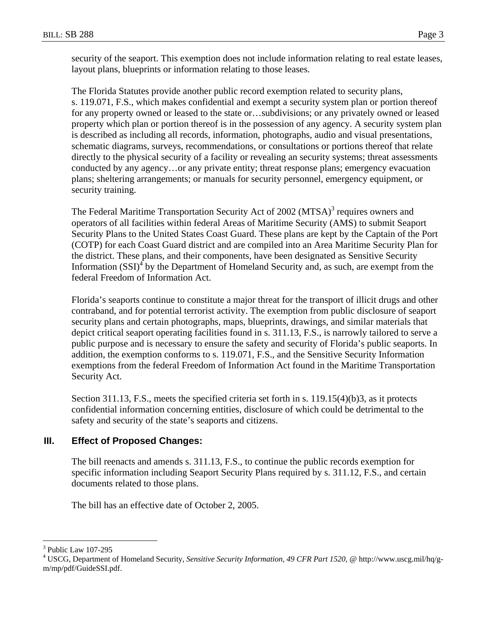security of the seaport. This exemption does not include information relating to real estate leases, layout plans, blueprints or information relating to those leases.

The Florida Statutes provide another public record exemption related to security plans, s. 119.071, F.S., which makes confidential and exempt a security system plan or portion thereof for any property owned or leased to the state or…subdivisions; or any privately owned or leased property which plan or portion thereof is in the possession of any agency. A security system plan is described as including all records, information, photographs, audio and visual presentations, schematic diagrams, surveys, recommendations, or consultations or portions thereof that relate directly to the physical security of a facility or revealing an security systems; threat assessments conducted by any agency…or any private entity; threat response plans; emergency evacuation plans; sheltering arrangements; or manuals for security personnel, emergency equipment, or security training.

The Federal Maritime Transportation Security Act of 2002 (MTSA)<sup>3</sup> requires owners and operators of all facilities within federal Areas of Maritime Security (AMS) to submit Seaport Security Plans to the United States Coast Guard. These plans are kept by the Captain of the Port (COTP) for each Coast Guard district and are compiled into an Area Maritime Security Plan for the district. These plans, and their components, have been designated as Sensitive Security Information  $(SSI)^4$  by the Department of Homeland Security and, as such, are exempt from the federal Freedom of Information Act.

Florida's seaports continue to constitute a major threat for the transport of illicit drugs and other contraband, and for potential terrorist activity. The exemption from public disclosure of seaport security plans and certain photographs, maps, blueprints, drawings, and similar materials that depict critical seaport operating facilities found in s. 311.13, F.S., is narrowly tailored to serve a public purpose and is necessary to ensure the safety and security of Florida's public seaports. In addition, the exemption conforms to s. 119.071, F.S., and the Sensitive Security Information exemptions from the federal Freedom of Information Act found in the Maritime Transportation Security Act.

Section 311.13, F.S., meets the specified criteria set forth in s. 119.15(4)(b)3, as it protects confidential information concerning entities, disclosure of which could be detrimental to the safety and security of the state's seaports and citizens.

## **III. Effect of Proposed Changes:**

The bill reenacts and amends s. 311.13, F.S., to continue the public records exemption for specific information including Seaport Security Plans required by s. 311.12, F.S., and certain documents related to those plans.

The bill has an effective date of October 2, 2005.

 $\overline{a}$ 

<sup>3</sup> Public Law 107-295

<sup>&</sup>lt;sup>4</sup> USCG, Department of Homeland Security, Sensitive Security Information, 49 CFR Part 1520, @ http://www.uscg.mil/hq/gm/mp/pdf/GuideSSI.pdf.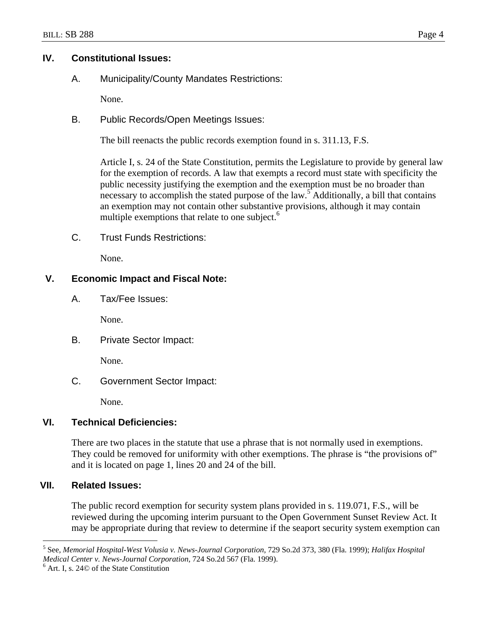#### **IV. Constitutional Issues:**

A. Municipality/County Mandates Restrictions:

None.

B. Public Records/Open Meetings Issues:

The bill reenacts the public records exemption found in s. 311.13, F.S.

Article I, s. 24 of the State Constitution, permits the Legislature to provide by general law for the exemption of records. A law that exempts a record must state with specificity the public necessity justifying the exemption and the exemption must be no broader than necessary to accomplish the stated purpose of the law.<sup>5</sup> Additionally, a bill that contains an exemption may not contain other substantive provisions, although it may contain multiple exemptions that relate to one subject.<sup>6</sup>

C. Trust Funds Restrictions:

None.

# **V. Economic Impact and Fiscal Note:**

A. Tax/Fee Issues:

None.

B. Private Sector Impact:

None.

C. Government Sector Impact:

None.

# **VI. Technical Deficiencies:**

There are two places in the statute that use a phrase that is not normally used in exemptions. They could be removed for uniformity with other exemptions. The phrase is "the provisions of" and it is located on page 1, lines 20 and 24 of the bill.

## **VII. Related Issues:**

The public record exemption for security system plans provided in s. 119.071, F.S., will be reviewed during the upcoming interim pursuant to the Open Government Sunset Review Act. It may be appropriate during that review to determine if the seaport security system exemption can

 $\overline{a}$ 5 See, *Memorial Hospital-West Volusia v. News-Journal Corporation,* 729 So.2d 373, 380 (Fla. 1999); *Halifax Hospital Medical Center v. News-Journal Corporation,* 724 So.2d 567 (Fla. 1999). 6

 $<sup>6</sup>$  Art. I, s. 24 $\odot$  of the State Constitution</sup>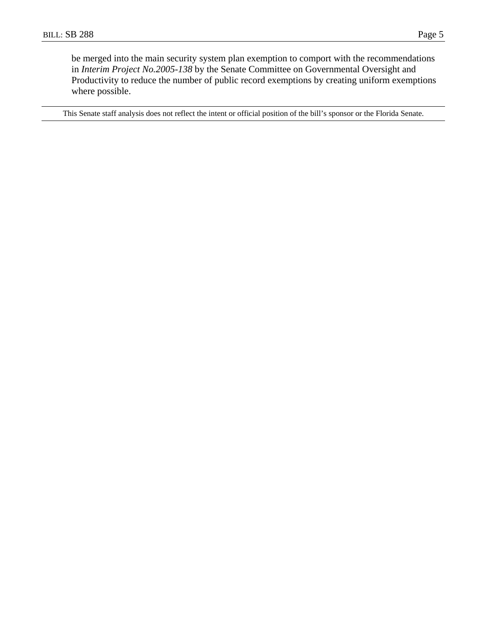be merged into the main security system plan exemption to comport with the recommendations in *Interim Project No.2005-138* by the Senate Committee on Governmental Oversight and Productivity to reduce the number of public record exemptions by creating uniform exemptions where possible.

This Senate staff analysis does not reflect the intent or official position of the bill's sponsor or the Florida Senate.